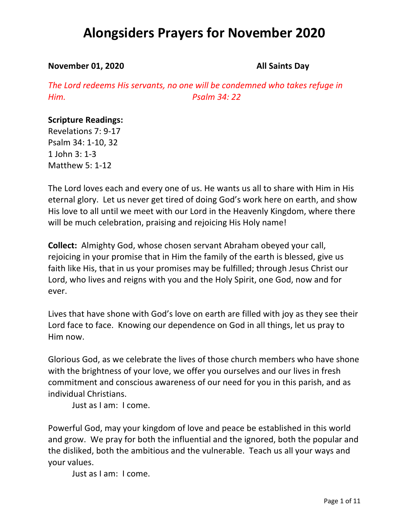#### **November 01, 2020 All Saints Day**

*The Lord redeems His servants, no one will be condemned who takes refuge in Him. Psalm 34: 22*

#### **Scripture Readings:**

Revelations 7: 9-17 Psalm 34: 1-10, 32 1 John 3: 1-3 Matthew 5: 1-12

The Lord loves each and every one of us. He wants us all to share with Him in His eternal glory. Let us never get tired of doing God's work here on earth, and show His love to all until we meet with our Lord in the Heavenly Kingdom, where there will be much celebration, praising and rejoicing His Holy name!

**Collect:** Almighty God, whose chosen servant Abraham obeyed your call, rejoicing in your promise that in Him the family of the earth is blessed, give us faith like His, that in us your promises may be fulfilled; through Jesus Christ our Lord, who lives and reigns with you and the Holy Spirit, one God, now and for ever.

Lives that have shone with God's love on earth are filled with joy as they see their Lord face to face. Knowing our dependence on God in all things, let us pray to Him now.

Glorious God, as we celebrate the lives of those church members who have shone with the brightness of your love, we offer you ourselves and our lives in fresh commitment and conscious awareness of our need for you in this parish, and as individual Christians.

Just as I am: I come.

Powerful God, may your kingdom of love and peace be established in this world and grow. We pray for both the influential and the ignored, both the popular and the disliked, both the ambitious and the vulnerable. Teach us all your ways and your values.

Just as I am: I come.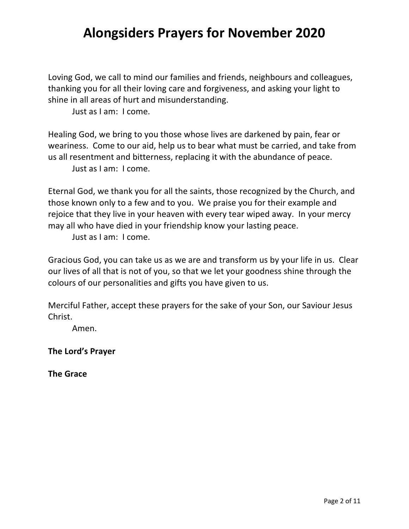Loving God, we call to mind our families and friends, neighbours and colleagues, thanking you for all their loving care and forgiveness, and asking your light to shine in all areas of hurt and misunderstanding.

Just as I am: I come.

Healing God, we bring to you those whose lives are darkened by pain, fear or weariness. Come to our aid, help us to bear what must be carried, and take from us all resentment and bitterness, replacing it with the abundance of peace. Just as I am: I come.

Eternal God, we thank you for all the saints, those recognized by the Church, and those known only to a few and to you. We praise you for their example and rejoice that they live in your heaven with every tear wiped away. In your mercy may all who have died in your friendship know your lasting peace.

Just as I am: I come.

Gracious God, you can take us as we are and transform us by your life in us. Clear our lives of all that is not of you, so that we let your goodness shine through the colours of our personalities and gifts you have given to us.

Merciful Father, accept these prayers for the sake of your Son, our Saviour Jesus Christ.

Amen.

**The Lord's Prayer**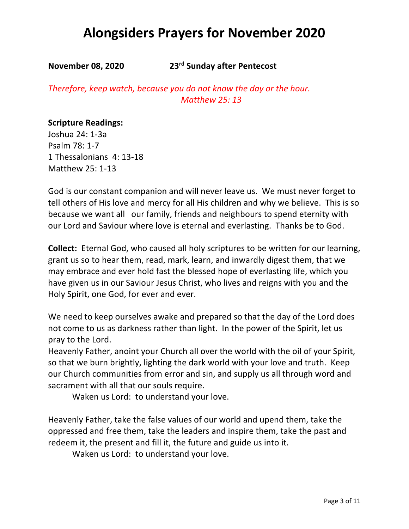**November 08, 2020 23rd Sunday after Pentecost**

*Therefore, keep watch, because you do not know the day or the hour. Matthew 25: 13*

#### **Scripture Readings:**

Joshua 24: 1-3a Psalm 78: 1-7 1 Thessalonians 4: 13-18 Matthew 25: 1-13

God is our constant companion and will never leave us. We must never forget to tell others of His love and mercy for all His children and why we believe. This is so because we want all our family, friends and neighbours to spend eternity with our Lord and Saviour where love is eternal and everlasting. Thanks be to God.

**Collect:** Eternal God, who caused all holy scriptures to be written for our learning, grant us so to hear them, read, mark, learn, and inwardly digest them, that we may embrace and ever hold fast the blessed hope of everlasting life, which you have given us in our Saviour Jesus Christ, who lives and reigns with you and the Holy Spirit, one God, for ever and ever.

We need to keep ourselves awake and prepared so that the day of the Lord does not come to us as darkness rather than light. In the power of the Spirit, let us pray to the Lord.

Heavenly Father, anoint your Church all over the world with the oil of your Spirit, so that we burn brightly, lighting the dark world with your love and truth. Keep our Church communities from error and sin, and supply us all through word and sacrament with all that our souls require.

Waken us Lord: to understand your love.

Heavenly Father, take the false values of our world and upend them, take the oppressed and free them, take the leaders and inspire them, take the past and redeem it, the present and fill it, the future and guide us into it.

Waken us Lord: to understand your love.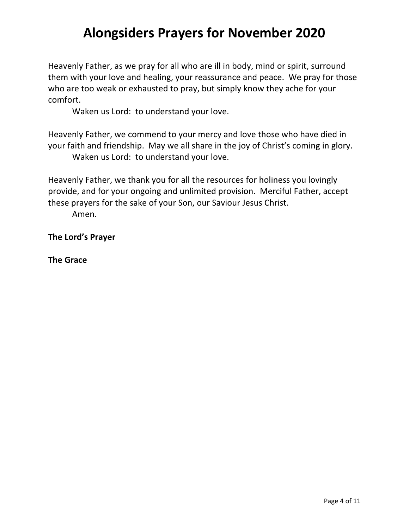Heavenly Father, as we pray for all who are ill in body, mind or spirit, surround them with your love and healing, your reassurance and peace. We pray for those who are too weak or exhausted to pray, but simply know they ache for your comfort.

Waken us Lord: to understand your love.

Heavenly Father, we commend to your mercy and love those who have died in your faith and friendship. May we all share in the joy of Christ's coming in glory. Waken us Lord: to understand your love.

Heavenly Father, we thank you for all the resources for holiness you lovingly provide, and for your ongoing and unlimited provision. Merciful Father, accept these prayers for the sake of your Son, our Saviour Jesus Christ.

Amen.

**The Lord's Prayer**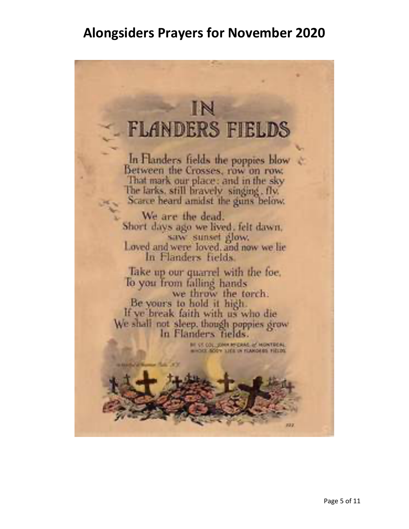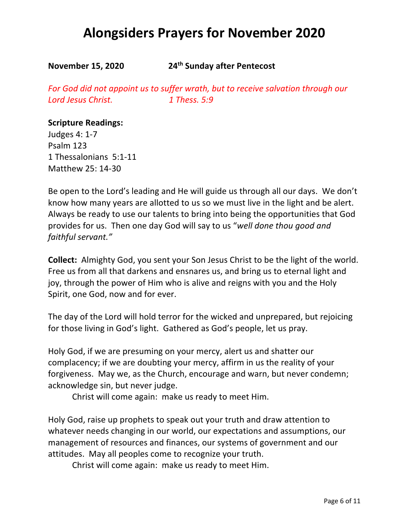**November 15, 2020 24th Sunday after Pentecost**

*For God did not appoint us to suffer wrath, but to receive salvation through our Lord Jesus Christ. 1 Thess. 5:9*

#### **Scripture Readings:**

Judges 4: 1-7 Psalm 123 1 Thessalonians 5:1-11 Matthew 25: 14-30

Be open to the Lord's leading and He will guide us through all our days. We don't know how many years are allotted to us so we must live in the light and be alert. Always be ready to use our talents to bring into being the opportunities that God provides for us. Then one day God will say to us "*well done thou good and faithful servant."*

**Collect:** Almighty God, you sent your Son Jesus Christ to be the light of the world. Free us from all that darkens and ensnares us, and bring us to eternal light and joy, through the power of Him who is alive and reigns with you and the Holy Spirit, one God, now and for ever.

The day of the Lord will hold terror for the wicked and unprepared, but rejoicing for those living in God's light. Gathered as God's people, let us pray.

Holy God, if we are presuming on your mercy, alert us and shatter our complacency; if we are doubting your mercy, affirm in us the reality of your forgiveness. May we, as the Church, encourage and warn, but never condemn; acknowledge sin, but never judge.

Christ will come again: make us ready to meet Him.

Holy God, raise up prophets to speak out your truth and draw attention to whatever needs changing in our world, our expectations and assumptions, our management of resources and finances, our systems of government and our attitudes. May all peoples come to recognize your truth.

Christ will come again: make us ready to meet Him.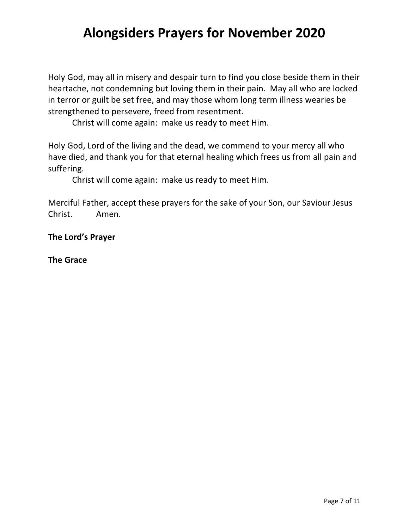Holy God, may all in misery and despair turn to find you close beside them in their heartache, not condemning but loving them in their pain. May all who are locked in terror or guilt be set free, and may those whom long term illness wearies be strengthened to persevere, freed from resentment.

Christ will come again: make us ready to meet Him.

Holy God, Lord of the living and the dead, we commend to your mercy all who have died, and thank you for that eternal healing which frees us from all pain and suffering.

Christ will come again: make us ready to meet Him.

Merciful Father, accept these prayers for the sake of your Son, our Saviour Jesus Christ. Amen.

**The Lord's Prayer**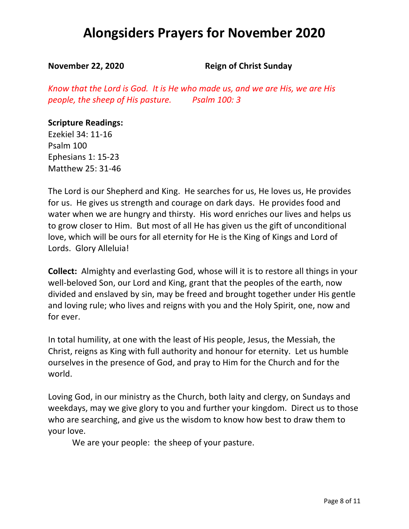**November 22, 2020** Reign of Christ Sunday

*Know that the Lord is God. It is He who made us, and we are His, we are His people, the sheep of His pasture. Psalm 100: 3*

#### **Scripture Readings:**

Ezekiel 34: 11-16 Psalm 100 Ephesians 1: 15-23 Matthew 25: 31-46

The Lord is our Shepherd and King. He searches for us, He loves us, He provides for us. He gives us strength and courage on dark days. He provides food and water when we are hungry and thirsty. His word enriches our lives and helps us to grow closer to Him. But most of all He has given us the gift of unconditional love, which will be ours for all eternity for He is the King of Kings and Lord of Lords. Glory Alleluia!

**Collect:** Almighty and everlasting God, whose will it is to restore all things in your well-beloved Son, our Lord and King, grant that the peoples of the earth, now divided and enslaved by sin, may be freed and brought together under His gentle and loving rule; who lives and reigns with you and the Holy Spirit, one, now and for ever.

In total humility, at one with the least of His people, Jesus, the Messiah, the Christ, reigns as King with full authority and honour for eternity. Let us humble ourselves in the presence of God, and pray to Him for the Church and for the world.

Loving God, in our ministry as the Church, both laity and clergy, on Sundays and weekdays, may we give glory to you and further your kingdom. Direct us to those who are searching, and give us the wisdom to know how best to draw them to your love.

We are your people: the sheep of your pasture.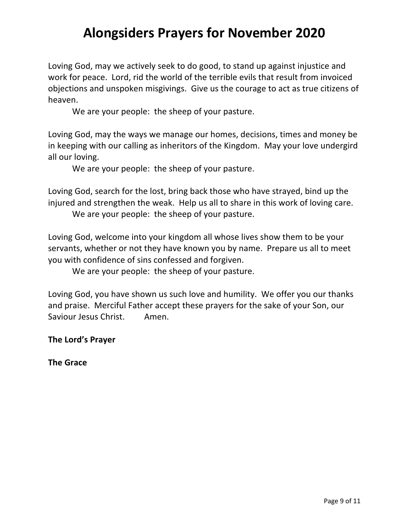Loving God, may we actively seek to do good, to stand up against injustice and work for peace. Lord, rid the world of the terrible evils that result from invoiced objections and unspoken misgivings. Give us the courage to act as true citizens of heaven.

We are your people: the sheep of your pasture.

Loving God, may the ways we manage our homes, decisions, times and money be in keeping with our calling as inheritors of the Kingdom. May your love undergird all our loving.

We are your people: the sheep of your pasture.

Loving God, search for the lost, bring back those who have strayed, bind up the injured and strengthen the weak. Help us all to share in this work of loving care.

We are your people: the sheep of your pasture.

Loving God, welcome into your kingdom all whose lives show them to be your servants, whether or not they have known you by name. Prepare us all to meet you with confidence of sins confessed and forgiven.

We are your people: the sheep of your pasture.

Loving God, you have shown us such love and humility. We offer you our thanks and praise. Merciful Father accept these prayers for the sake of your Son, our Saviour Jesus Christ. Amen.

**The Lord's Prayer**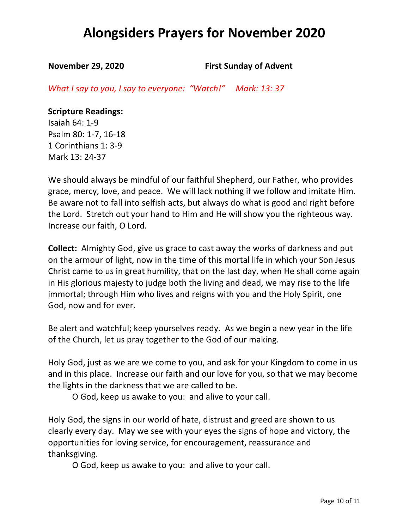**November 29, 2020 First Sunday of Advent** 

*What I say to you, I say to everyone: "Watch!" Mark: 13: 37*

**Scripture Readings:** Isaiah 64: 1-9 Psalm 80: 1-7, 16-18 1 Corinthians 1: 3-9

Mark 13: 24-37

We should always be mindful of our faithful Shepherd, our Father, who provides grace, mercy, love, and peace. We will lack nothing if we follow and imitate Him. Be aware not to fall into selfish acts, but always do what is good and right before the Lord. Stretch out your hand to Him and He will show you the righteous way. Increase our faith, O Lord.

**Collect:** Almighty God, give us grace to cast away the works of darkness and put on the armour of light, now in the time of this mortal life in which your Son Jesus Christ came to us in great humility, that on the last day, when He shall come again in His glorious majesty to judge both the living and dead, we may rise to the life immortal; through Him who lives and reigns with you and the Holy Spirit, one God, now and for ever.

Be alert and watchful; keep yourselves ready. As we begin a new year in the life of the Church, let us pray together to the God of our making.

Holy God, just as we are we come to you, and ask for your Kingdom to come in us and in this place. Increase our faith and our love for you, so that we may become the lights in the darkness that we are called to be.

O God, keep us awake to you: and alive to your call.

Holy God, the signs in our world of hate, distrust and greed are shown to us clearly every day. May we see with your eyes the signs of hope and victory, the opportunities for loving service, for encouragement, reassurance and thanksgiving.

O God, keep us awake to you: and alive to your call.